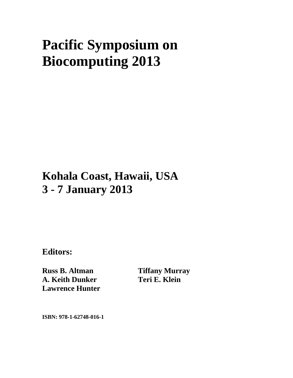# **Pacific Symposium on Biocomputing 2013**

# **Kohala Coast, Hawaii, USA 3 - 7 January 2013**

**Editors:** 

**Russ B. Altman A. Keith Dunker Lawrence Hunter**  **Tiffany Murray Teri E. Klein** 

**ISBN: 978-1-62748-016-1**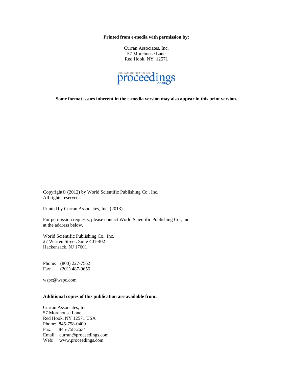**Printed from e-media with permission by:** 

Curran Associates, Inc. 57 Morehouse Lane Red Hook, NY 12571



**Some format issues inherent in the e-media version may also appear in this print version.** 

Copyright© (2012) by World Scientific Publishing Co., Inc. All rights reserved.

Printed by Curran Associates, Inc. (2013)

For permission requests, please contact World Scientific Publishing Co., Inc. at the address below.

World Scientific Publishing Co., Inc. 27 Warren Street, Suite 401-402 Hackensack, NJ 17601

Phone: (800) 227-7562 Fax: (201) 487-9656

wspc@wspc.com

#### **Additional copies of this publication are available from:**

Curran Associates, Inc. 57 Morehouse Lane Red Hook, NY 12571 USA Phone: 845-758-0400 Fax: 845-758-2634 Email: curran@proceedings.com Web: www.proceedings.com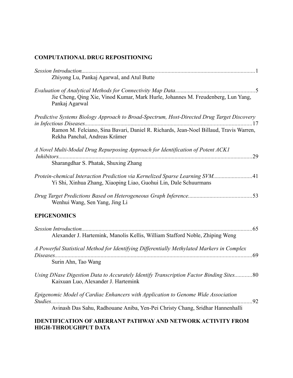## **COMPUTATIONAL DRUG REPOSITIONING**

| Zhiyong Lu, Pankaj Agarwal, and Atul Butte                                                                                                                                                                           |
|----------------------------------------------------------------------------------------------------------------------------------------------------------------------------------------------------------------------|
| Jie Cheng, Qing Xie, Vinod Kumar, Mark Hurle, Johannes M. Freudenberg, Lun Yang,<br>Pankaj Agarwal                                                                                                                   |
| Predictive Systems Biology Approach to Broad-Spectrum, Host-Directed Drug Target Discovery<br>Ramon M. Felciano, Sina Bavari, Daniel R. Richards, Jean-Noel Billaud, Travis Warren,<br>Rekha Panchal, Andreas Krämer |
| A Novel Multi-Modal Drug Repurposing Approach for Identification of Potent ACK1<br>Sharangdhar S. Phatak, Shuxing Zhang                                                                                              |
| Protein-chemical Interaction Prediction via Kernelized Sparse Learning SVM 41<br>Yi Shi, Xinhua Zhang, Xiaoping Liao, Guohui Lin, Dale Schuurmans                                                                    |
| Wenhui Wang, Sen Yang, Jing Li                                                                                                                                                                                       |
| <b>EPIGENOMICS</b>                                                                                                                                                                                                   |
| .65<br>Alexander J. Hartemink, Manolis Kellis, William Stafford Noble, Zhiping Weng                                                                                                                                  |
| A Powerful Statistical Method for Identifying Differentially Methylated Markers in Complex<br>Surin Ahn, Tao Wang                                                                                                    |
| Using DNase Digestion Data to Accurately Identify Transcription Factor Binding Sites80<br>Kaixuan Luo, Alexander J. Hartemink                                                                                        |
| Epigenomic Model of Cardiac Enhancers with Application to Genome Wide Association<br>.92<br>Studies.<br>Avinash Das Sahu, Radhouane Aniba, Yen-Pei Christy Chang, Sridhar Hannenhalli                                |
| <b>IDENTIFICATION OF ABERRANT PATHWAY AND NETWORK ACTIVITY FROM</b>                                                                                                                                                  |

# **HIGH-THROUGHPUT DATA**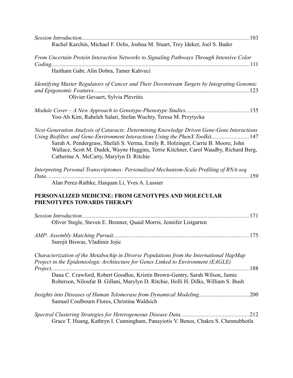| Rachel Karchin, Michael F. Ochs, Joshua M. Stuart, Trey Ideker, Joel S. Bader                                                                                                                                                                                                                                                                                                                        |
|------------------------------------------------------------------------------------------------------------------------------------------------------------------------------------------------------------------------------------------------------------------------------------------------------------------------------------------------------------------------------------------------------|
| From Uncertain Protein Interaction Networks to Signaling Pathways Through Intensive Color                                                                                                                                                                                                                                                                                                            |
| Haitham Gabr, Alin Dobra, Tamer Kahveci                                                                                                                                                                                                                                                                                                                                                              |
| Identifying Master Regulators of Cancer and Their Downstream Targets by Integrating Genomic                                                                                                                                                                                                                                                                                                          |
| Olivier Gevaert, Sylvia Plevritis                                                                                                                                                                                                                                                                                                                                                                    |
| Yoo-Ah Kim, Raheleh Salari, Stefan Wuchty, Teresa M. Przytycka                                                                                                                                                                                                                                                                                                                                       |
| Next-Generation Analysis of Cataracts: Determining Knowledge Driven Gene-Gene Interactions<br>Using Biofilter, and Gene-Environment Interactions Using the PhenX Toolkit147<br>Sarah A. Pendergrass, Shefali S. Verma, Emily R. Holzinger, Carrie B. Moore, John<br>Wallace, Scott M. Dudek, Wayne Huggins, Terrie Kitchner, Carol Waudby, Richard Berg,<br>Catherine A. McCarty, Marylyn D. Ritchie |
| Interpreting Personal Transcriptomes: Personalized Mechanism-Scale Profiling of RNA-seq                                                                                                                                                                                                                                                                                                              |
| Alan Perez-Rathke, Haiquan Li, Yves A. Lussier                                                                                                                                                                                                                                                                                                                                                       |
| PERSONALIZED MEDICINE: FROM GENOTYPES AND MOLECULAR<br>PHENOTYPES TOWARDS THERAPY                                                                                                                                                                                                                                                                                                                    |
| Oliver Stegle, Steven E. Brenner, Quaid Morris, Jennifer Listgarten                                                                                                                                                                                                                                                                                                                                  |
| Surojit Biswas, Vladimir Jojic                                                                                                                                                                                                                                                                                                                                                                       |
| Characterization of the Metabochip in Diverse Populations from the International HapMap<br>Project in the Epidemiologic Architecture for Genes Linked to Environment (EAGLE)                                                                                                                                                                                                                         |
| Dana C. Crawford, Robert Goodloe, Kristin Brown-Gentry, Sarah Wilson, Jamie<br>Roberson, Niloufar B. Gillani, Marylyn D. Ritchie, Holli H. Dilks, William S. Bush                                                                                                                                                                                                                                    |
| Insights into Diseases of Human Telomerase from Dynamical Modeling200<br>Samuel Coulbourn Flores, Christina Waldsich                                                                                                                                                                                                                                                                                 |
| Grace T. Huang, Kathryn I. Cunningham, Panayiotis V. Benos, Chakra S. Chennubhotla                                                                                                                                                                                                                                                                                                                   |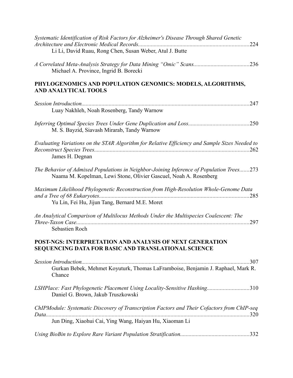| Systematic Identification of Risk Factors for Alzheimer's Disease Through Shared Genetic<br>224                                                               |
|---------------------------------------------------------------------------------------------------------------------------------------------------------------|
| Li Li, David Ruau, Rong Chen, Susan Weber, Atul J. Butte                                                                                                      |
| Michael A. Province, Ingrid B. Borecki                                                                                                                        |
| PHYLOGENOMICS AND POPULATION GENOMICS: MODELS, ALGORITHMS,<br><b>AND ANALYTICAL TOOLS</b>                                                                     |
| Luay Nakhleh, Noah Rosenberg, Tandy Warnow                                                                                                                    |
| M. S. Bayzid, Siavash Mirarab, Tandy Warnow                                                                                                                   |
| Evaluating Variations on the STAR Algorithm for Relative Efficiency and Sample Sizes Needed to<br>James H. Degnan                                             |
| The Behavior of Admixed Populations in Neighbor-Joining Inference of Population Trees273<br>Naama M. Kopelman, Lewi Stone, Olivier Gascuel, Noah A. Rosenberg |
| Maximum Likelihood Phylogenetic Reconstruction from High-Resolution Whole-Genome Data<br>.285<br>Yu Lin, Fei Hu, Jijun Tang, Bernard M.E. Moret               |
| An Analytical Comparison of Multilocus Methods Under the Multispecies Coalescent: The<br>297<br>Sebastien Roch                                                |
| <b>POST-NGS: INTERPRETATION AND ANALYSIS OF NEXT GENERATION</b><br><b>SEQUENCING DATA FOR BASIC AND TRANSLATIONAL SCIENCE</b>                                 |
| 307<br>Gurkan Bebek, Mehmet Koyuturk, Thomas LaFramboise, Benjamin J. Raphael, Mark R.<br>Chance                                                              |
| LSHPlace: Fast Phylogenetic Placement Using Locality-Sensitive Hashing310<br>Daniel G. Brown, Jakub Truszkowski                                               |
| ChIPModule: Systematic Discovery of Transcription Factors and Their Cofactors from ChIP-seq                                                                   |
| Jun Ding, Xiaohui Cai, Ying Wang, Haiyan Hu, Xiaoman Li                                                                                                       |
|                                                                                                                                                               |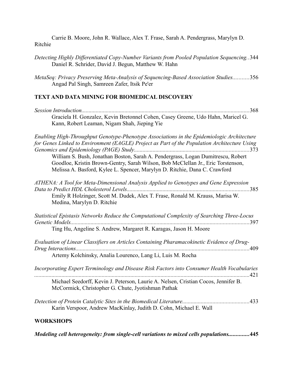Carrie B. Moore, John R. Wallace, Alex T. Frase, Sarah A. Pendergrass, Marylyn D. Ritchie

*Detecting Highly Differentiated Copy-Number Variants from Pooled Population Sequencing..*344 Daniel R. Schrider, David J. Begun, Matthew W. Hahn

#### **TEXT AND DATA MINING FOR BIOMEDICAL DISCOVERY**

*Session Introduction.....................................................................................................................*368 Graciela H. Gonzalez, Kevin Bretonnel Cohen, Casey Greene, Udo Hahn, Maricel G. Kann, Robert Leaman, Nigam Shah, Jieping Yie

*Enabling High-Throughput Genotype-Phenotype Associations in the Epidemiologic Architecture for Genes Linked to Environment (EAGLE) Project as Part of the Population Architecture Using Genomics and Epidemiology (PAGE) Study................................................................................*373 William S. Bush, Jonathan Boston, Sarah A. Pendergrass, Logan Dumitrescu, Robert Goodloe, Kristin Brown-Gentry, Sarah Wilson, Bob McClellan Jr., Eric Torstenson, Melissa A. Basford, Kylee L. Spencer, Marylyn D. Ritchie, Dana C. Crawford *ATHENA: A Tool for Meta-Dimensional Analysis Applied to Genotypes and Gene Expression Data to Predict HDL Cholesterol Levels.....................................................................................*385 Emily R Holzinger, Scott M. Dudek, Alex T. Frase, Ronald M. Krauss, Marisa W. Medina, Marylyn D. Ritchie *Statistical Epistasis Networks Reduce the Computational Complexity of Searching Three-Locus Genetic Models............................................................................................................................*397 Ting Hu, Angeline S. Andrew, Margaret R. Karagas, Jason H. Moore *Evaluation of Linear Classifiers on Articles Containing Pharamacokinetic Evidence of Drug-Drug Interactions.........................................................................................................................*409 Artemy Kolchinsky, Analia Lourenco, Lang Li, Luis M. Rocha *Incorporating Expert Terminology and Disease Risk Factors into Consumer Health Vocabularies*

|  |  |                                                    |  | Michael Seedorff, Kevin J. Peterson, Laurie A. Nelsen, Cristian Cocos, Jennifer B. |  |
|--|--|----------------------------------------------------|--|------------------------------------------------------------------------------------|--|
|  |  | McCormick, Christopher G. Chute, Jyotishman Pathak |  |                                                                                    |  |

*Detection of Protein Catalytic Sites in the Biomedical Literature..............................................*433 Karin Verspoor, Andrew MacKinlay, Judith D. Cohn, Michael E. Wall

### **WORKSHOPS**

*Modeling cell heterogeneity: from single-cell variations to mixed cells populations..............***445**

*MetaSeq: Privacy Preserving Meta-Analysis of Sequencing-Based Association Studies...........*356 Angad Pal Singh, Samreen Zafer, Itsik Pe'er